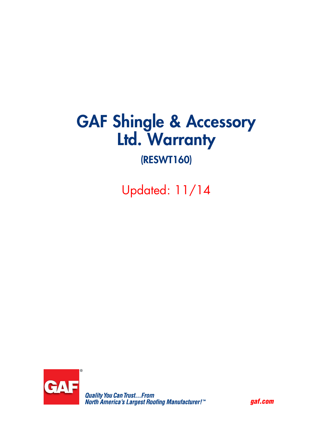# GAF Shingle & Accessory Ltd. Warranty

# (RESWT160)

Updated: 11/14



*gaf.com*